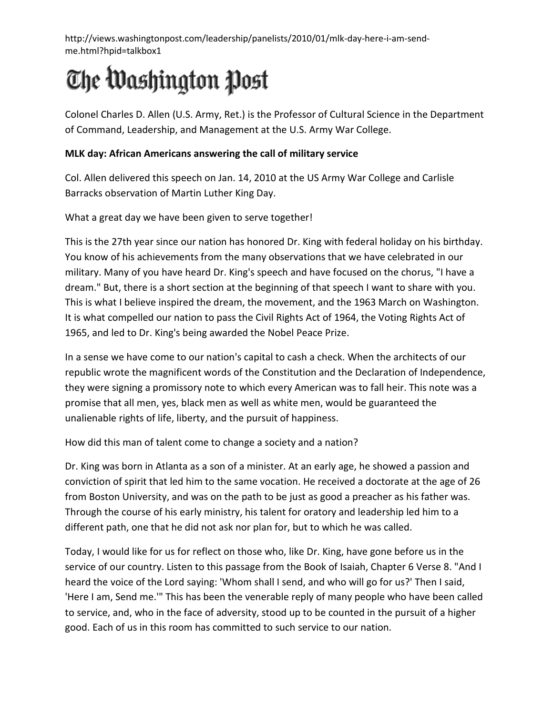## The Washington Post

Colonel Charles D. Allen (U.S. Army, Ret.) is the Professor of Cultural Science in the Department of Command, Leadership, and Management at the U.S. Army War College.

## **MLK day: African Americans answering the call of military service**

Col. Allen delivered this speech on Jan. 14, 2010 at the [US Army War College](http://www.carlisle.army.mil/) and Carlisle Barracks observation of Martin Luther King Day.

What a great day we have been given to serve together!

This is the 27th year since our nation has honored Dr. King with federal holiday on his birthday. You know of his achievements from the many observations that we have celebrated in our military. Many of you have heard Dr. King's speech and have focused on the chorus, "I have a dream." But, there is a short section at the beginning of that speech I want to share with you. This is what I believe inspired the dream, the movement, and the 1963 March on Washington. It is what compelled our nation to pass the Civil Rights Act of 1964, the Voting Rights Act of 1965, and led to Dr. King's being awarded the Nobel Peace Prize.

In a sense we have come to our nation's capital to cash a check. When the architects of our republic wrote the magnificent words of the Constitution and the Declaration of Independence, they were signing a promissory note to which every American was to fall heir. This note was a promise that all men, yes, black men as well as white men, would be guaranteed the unalienable rights of life, liberty, and the pursuit of happiness.

How did this man of talent come to change a society and a nation?

Dr. King was born in Atlanta as a son of a minister. At an early age, he showed a passion and conviction of spirit that led him to the same vocation. He received a doctorate at the age of 26 from Boston University, and was on the path to be just as good a preacher as his father was. Through the course of his early ministry, his talent for oratory and leadership led him to a different path, one that he did not ask nor plan for, but to which he was called.

Today, I would like for us for reflect on those who, like Dr. King, have gone before us in the service of our country. Listen to this passage from the Book of Isaiah, Chapter 6 Verse 8. "And I heard the voice of the Lord saying: 'Whom shall I send, and who will go for us?' Then I said, ['Here I am, Send me.](http://www.biblegateway.com/passage/?search=Isaiah%206:%208&version=NIV)'" This has been the venerable reply of many people who have been called to service, and, who in the face of adversity, stood up to be counted in the pursuit of a higher good. Each of us in this room has committed to such service to our nation.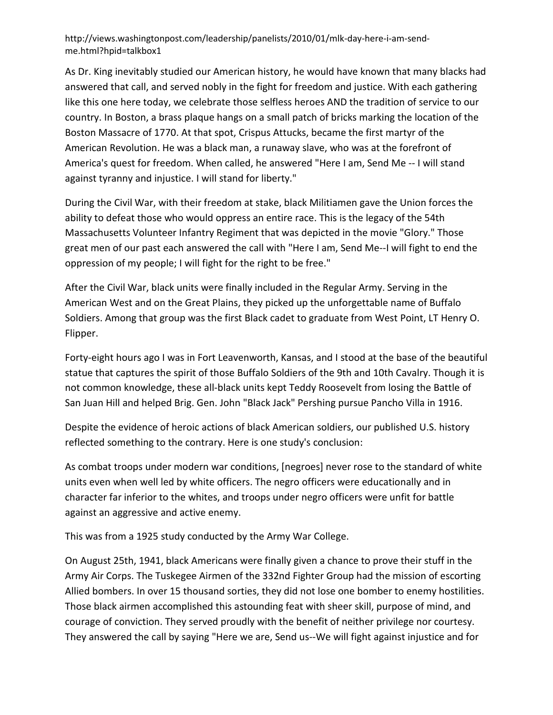As Dr. King inevitably studied our American history, he would have known that [many blacks had](http://www.army.mil/africanamericans/main_content.html)  [answered that call,](http://www.army.mil/africanamericans/main_content.html) and served nobly in the fight for freedom and justice. With each gathering like this one here today, we celebrate those selfless heroes AND the tradition of service to our country. In Boston, a brass plaque hangs on a small patch of bricks marking the location of the Boston Massacre of 1770. At that spot, [Crispus Attucks,](http://www.loc.gov/exhibits/treasures/trr046.html) became the first martyr of the American Revolution. He was a black man, a runaway slave, who was at the forefront of America's quest for freedom. When called, he answered "Here I am, Send Me -- I will stand against tyranny and injustice. I will stand for liberty."

During the Civil War, with their freedom at stake, black Militiamen gave the Union forces the ability to defeat those who would oppress an entire race. This is the legacy of the 54th Massachusetts Volunteer Infantry Regiment that was depicted in the movie ["Glory.](http://en.wikipedia.org/wiki/Glory_%28film%29)" Those great men of our past each answered the call with "Here I am, Send Me--I will fight to end the oppression of my people; I will fight for the right to be free."

After the Civil War, black units were finally included in the Regular Army. Serving in the American West and on the Great Plains, they picked up the unforgettable name of [Buffalo](http://www.loc.gov/vets/stories/ex-war-buffalosoldiers.html)  [Soldiers.](http://www.loc.gov/vets/stories/ex-war-buffalosoldiers.html) Among that group was the first Black cadet to graduate from West Point, [LT Henry O.](http://www.army.mil/africanamericans/profilesflipper.html)  [Flipper.](http://www.army.mil/africanamericans/profilesflipper.html)

Forty-eight hours ago I was in Fort Leavenworth, Kansas, and I stood at the base of the beautiful [statue that captures the spirit of those Buffalo Soldiers](http://garrison.leavenworth.army.mil/sites/about/Buffalo.asp) of the 9th and 10th Cavalry. Though it is not common knowledge, these all-black units kept Teddy Roosevelt from losing the Battle of San Juan Hill and helped Brig. Gen. John "Black Jack" Pershing pursue Pancho Villa in 1916.

Despite the evidence of heroic actions of black American soldiers, our published U.S. history reflected something to the contrary. Here is one study's conclusion:

As combat troops under modern war conditions, [negroes] never rose to the standard of white units even when well led by white officers. The negro officers were educationally and in character far inferior to the whites, and troops under negro officers were unfit for battle against an aggressive and active enemy.

This was from a 1925 study conducted by the Army War College.

On August 25th, 1941, black Americans were finally given a chance to prove their stuff in the Army Air Corps. The [Tuskegee Airmen of the 332nd Fighter Group h](http://www.nps.gov/history/museum/exhibits/tuskegee/airoverview.htm)ad the mission of escorting Allied bombers. In over 15 thousand sorties, they did not lose one bomber to enemy hostilities. Those black airmen accomplished this astounding feat with sheer skill, purpose of mind, and courage of conviction. They served proudly with the benefit of neither privilege nor courtesy. They answered the call by saying "Here we are, Send us--We will fight against injustice and for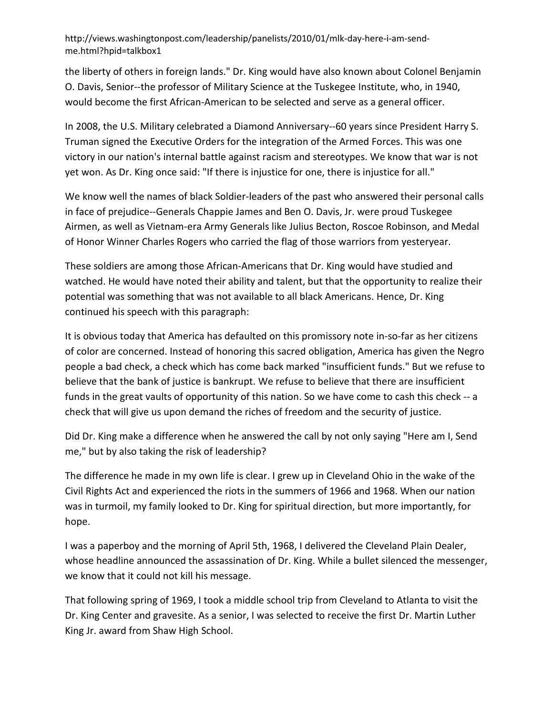the liberty of others in foreign lands." Dr. King would have also known about [Colonel Benjamin](http://www.af.mil/information/bios/bio.asp?bioID=5173)  [O. Davis, Senior-](http://www.af.mil/information/bios/bio.asp?bioID=5173)-the professor of Military Science at the Tuskegee Institute, who, in 1940, would become the first African-American to be selected and serve as a general officer.

In 2008, the U.S. Military celebrated a Diamond Anniversary--60 years sinc[e President Harry S.](http://www.trumanlibrary.org/whistlestop/study_collections/desegregation/large/index.php?action=chronology)  [Truman signed the Executive Orders for the integration of the Armed Forces.](http://www.trumanlibrary.org/whistlestop/study_collections/desegregation/large/index.php?action=chronology) This was one victory in our nation's internal battle against racism and stereotypes. We know that war is not yet won. As Dr. King once said: "If there is injustice for one, there is injustice for all."

We know well the names of black Soldier-leaders of the past who answered their personal calls in face of prejudice--Generals Chappie James and Ben O. Davis, Jr. were proud Tuskegee Airmen, as well as Vietnam-era Army Generals like [Julius Becton,](http://www.pritzkermilitarylibrary.org/events/2009/02-10-julius-becton.jsp) [Roscoe Robinson,](http://www.army.mil/-news/2009/02/05/16455-african-american-firsts-key-to-army-history/) an[d Medal](http://www.presidency.ucsb.edu/ws/index.php?pid=2503)  [of Honor Winner Charles Rogers](http://www.presidency.ucsb.edu/ws/index.php?pid=2503) who carried the flag of those warriors from yesteryear.

These soldiers are among those African-Americans that Dr. King would have studied and watched. He would have noted their ability and talent, but that the opportunity to realize their potential was something that was not available to all black Americans. Hence, Dr. King continued his speech with this paragraph:

It is obvious today that America has defaulted on this promissory note in-so-far as her citizens of color are concerned. Instead of honoring this sacred obligation, America has given the Negro people a bad check, a check which has come back marked "insufficient funds." But we refuse to believe that the bank of justice is bankrupt. We refuse to believe that there are insufficient funds in the great vaults of opportunity of this nation. So we have come to cash this check -- a check that will give us upon demand the riches of freedom and the security of justice.

Did Dr. King make a difference when he answered the call by not only saying "Here am I, Send me," but by also taking the risk of leadership?

The difference he made in my own life is clear. I grew up in Cleveland Ohio in the wake of the Civil Rights Act and experienced the riots in the summers of 1966 and 1968. When our nation was in turmoil, my family looked to Dr. King for spiritual direction, but more importantly, for hope.

I was a paperboy and the morning of April 5th, 1968, I delivered the Cleveland Plain Dealer, whose headline announced the assassination of Dr. King. While a bullet silenced the messenger, we know that it could not kill his message.

That following spring of 1969, I took a middle school trip from Cleveland to Atlanta to visit the [Dr. King Center](http://www.nps.gov/nr/travel/atlanta/kin.htm) and gravesite. As a senior, I was selected to receive the first Dr. Martin Luther King Jr. award from Shaw High School.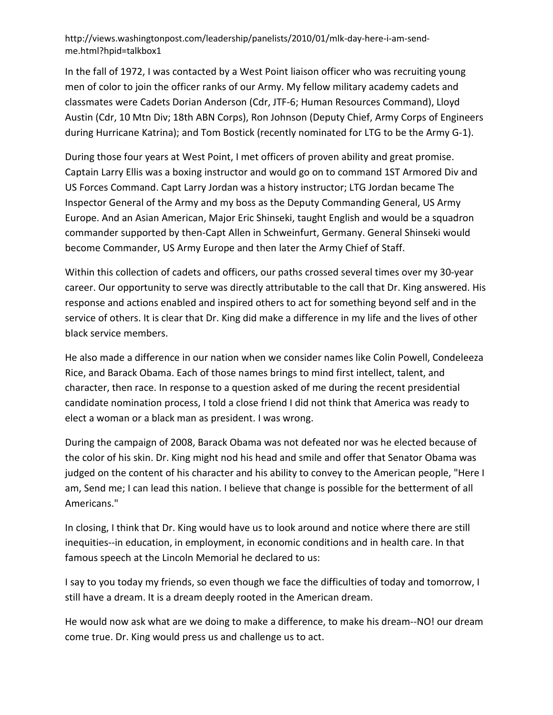In the fall of 1972, I was contacted by a West Point liaison officer who was recruiting young men of color to join the officer ranks of our Army. My fellow military academy cadets and classmates were Cadets Dorian Anderson (Cdr, JTF-6; Human Resources Command), Lloyd Austin (Cdr, 10 Mtn Div; 18th ABN Corps), Ron Johnson (Deputy Chief, Army Corps of Engineers during Hurricane Katrina); and Tom Bostick (recently nominated for LTG to be the Army G-1).

During those four years at West Point, I met officers of proven ability and great promise. Captain Larry Ellis was a boxing instructor and would go on to command 1ST Armored Div and US Forces Command. Capt Larry Jordan was a history instructor; LTG Jordan became The Inspector General of the Army and my boss as the Deputy Commanding General, US Army Europe. And an Asian American, Major Eric Shinseki, taught English and would be a squadron commander supported by then-Capt Allen in Schweinfurt, Germany. General Shinseki would become Commander, US Army Europe and then later the Army Chief of Staff.

Within this collection of cadets and officers, our paths crossed several times over my 30-year career. Our opportunity to serve was directly attributable to the call that Dr. King answered. His response and actions enabled and inspired others to act for something beyond self and in the service of others. It is clear that Dr. King did make a difference in my life and the lives of other black service members.

He also made a difference in our nation when we consider names like Colin Powell, Condeleeza Rice, and Barack Obama. Each of those names brings to mind first intellect, talent, and character, then race. In response to a question asked of me during the recent presidential candidate nomination process, I told a close friend I did not think that America was ready to elect a woman or a black man as president. I was wrong.

During the campaign of 2008, Barack Obama was not defeated nor was he elected because of the color of his skin. Dr. King might nod his head and smile and offer that Senator Obama was judged on the content of his character and his ability to convey to the American people, "Here I am, Send me; I can lead this nation. I believe that change is possible for the betterment of all Americans."

In closing, I think that Dr. King would have us to look around and notice where there are still inequities--in education, in employment, in economic conditions and in health care. In that famous speech at the Lincoln Memorial he declared to us:

I say to you today my friends, so even though we face the difficulties of today and tomorrow, I still have a dream. It is a dream deeply rooted in the American dream.

He would now ask what are we doing to make a difference, to make his dream--NO! our dream come true. Dr. King would press us and challenge us to act.